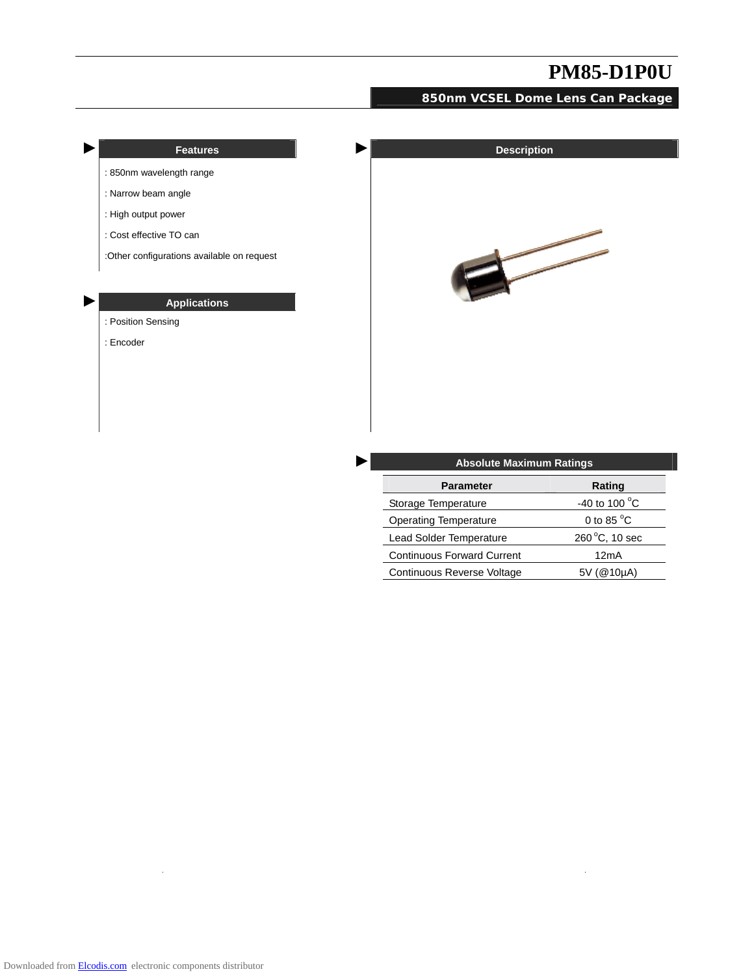#### **850nm VCSEL Dome Lens Can Package**



| <b>Parameter</b>                  | Rating                 |  |  |
|-----------------------------------|------------------------|--|--|
| Storage Temperature               | -40 to 100 $\degree$ C |  |  |
| <b>Operating Temperature</b>      | 0 to 85 $\degree$ C    |  |  |
| Lead Solder Temperature           | 260 °C, 10 sec         |  |  |
| <b>Continuous Forward Current</b> | 12mA                   |  |  |
| Continuous Reverse Voltage        | 5V (@10µA)             |  |  |

 $\ddot{\phantom{a}}$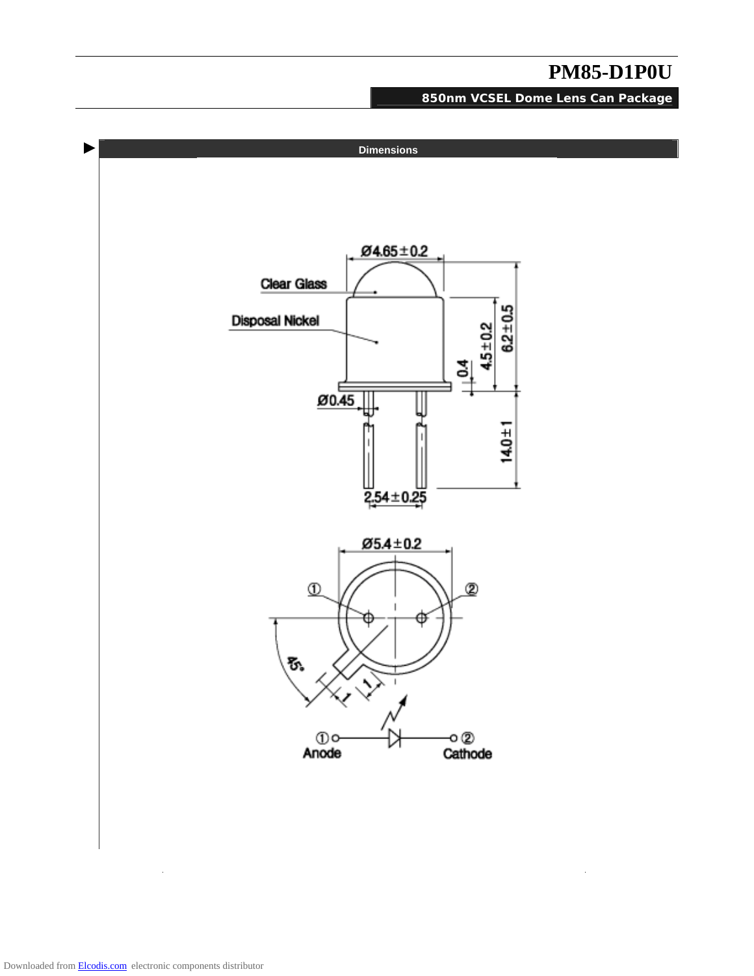**850nm VCSEL Dome Lens Can Package**

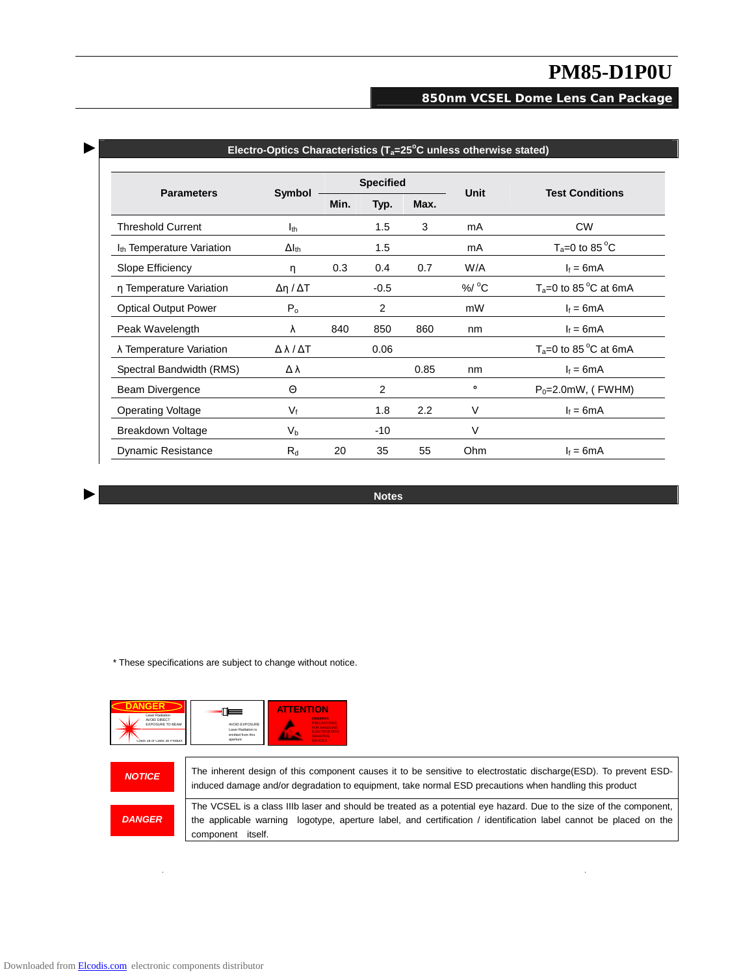$\hat{\boldsymbol{\beta}}$ 

### **850nm VCSEL Dome Lens Can Package**

| <b>Parameters</b>                     | Symbol                      | <b>Specified</b> |        |      |                    |                           |
|---------------------------------------|-----------------------------|------------------|--------|------|--------------------|---------------------------|
|                                       |                             | Min.             | Typ.   | Max. | Unit               | <b>Test Conditions</b>    |
| <b>Threshold Current</b>              | <b>I</b> <sub>th</sub>      |                  | 1.5    | 3    | mA                 | <b>CW</b>                 |
| I <sub>th</sub> Temperature Variation | $\Delta I_{th}$             |                  | 1.5    |      | mA                 | $T_a = 0$ to 85 °C        |
| Slope Efficiency                      | η                           | 0.3              | 0.4    | 0.7  | W/A                | $I_f = 6mA$               |
| n Temperature Variation               | Δη / ΔT                     |                  | $-0.5$ |      | $%$ / $^{\circ}$ C | $T_a = 0$ to 85 °C at 6mA |
| <b>Optical Output Power</b>           | P <sub>o</sub>              |                  | 2      |      | mW                 | $I_f = 6mA$               |
| Peak Wavelength                       | λ                           | 840              | 850    | 860  | nm                 | $I_f = 6mA$               |
| λ Temperature Variation               | $\Delta \lambda / \Delta T$ |                  | 0.06   |      |                    | $T_a = 0$ to 85 °C at 6mA |
| Spectral Bandwidth (RMS)              | Δλ                          |                  |        | 0.85 | nm                 | $I_f = 6mA$               |
| Beam Divergence                       | Θ                           |                  | 2      |      | $\bullet$          | $P_0 = 2.0$ mW, (FWHM)    |
| <b>Operating Voltage</b>              | $V_f$                       |                  | 1.8    | 2.2  | V                  | $I_f = 6mA$               |
| Breakdown Voltage                     | $V_{\rm b}$                 |                  | $-10$  |      | V                  |                           |
| <b>Dynamic Resistance</b>             | $R_d$                       | 20               | 35     | 55   | Ohm                | $I_f = 6mA$               |

► **Electro-Optics Characteristics (Ta=25<sup>o</sup> C unless otherwise stated)** 

► **Notes** 

\* These specifications are subject to change without notice.



 $\ddot{\phantom{a}}$